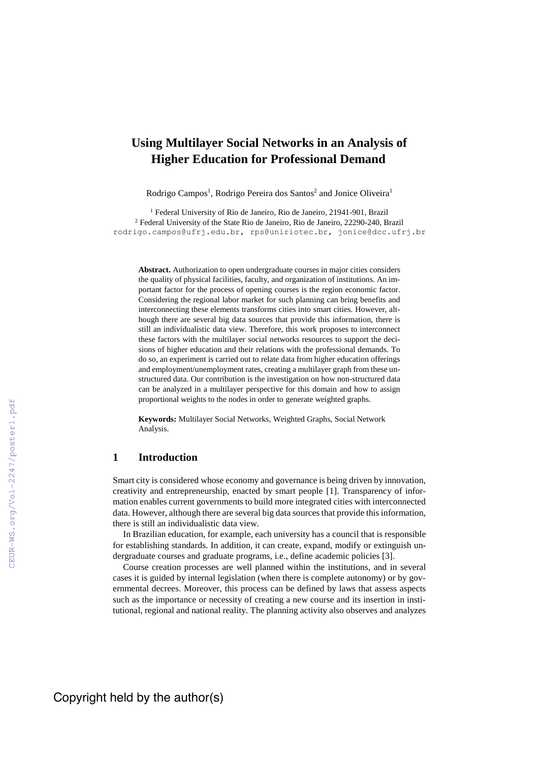# **Using Multilayer Social Networks in an Analysis of Higher Education for Professional Demand**

Rodrigo Campos<sup>1</sup>, Rodrigo Pereira dos Santos<sup>2</sup> and Jonice Oliveira<sup>1</sup>

<sup>1</sup> Federal University of Rio de Janeiro, Rio de Janeiro, 21941-901, Brazil <sup>2</sup> Federal University of the State Rio de Janeiro, Rio de Janeiro, 22290-240, Brazil [rodrigo.campos@ufrj.edu.br,](mailto:rodrigo.campos@ufrj.edu.br) [rps@uniriotec.br,](mailto:rps@uniriotec.br) jonice@dcc.ufrj.br

**Abstract.** Authorization to open undergraduate courses in major cities considers the quality of physical facilities, faculty, and organization of institutions. An important factor for the process of opening courses is the region economic factor. Considering the regional labor market for such planning can bring benefits and interconnecting these elements transforms cities into smart cities. However, although there are several big data sources that provide this information, there is still an individualistic data view. Therefore, this work proposes to interconnect these factors with the multilayer social networks resources to support the decisions of higher education and their relations with the professional demands. To do so, an experiment is carried out to relate data from higher education offerings and employment/unemployment rates, creating a multilayer graph from these unstructured data. Our contribution is the investigation on how non-structured data can be analyzed in a multilayer perspective for this domain and how to assign proportional weights to the nodes in order to generate weighted graphs.

**Keywords:** Multilayer Social Networks, Weighted Graphs, Social Network Analysis.

### **1 Introduction**

Smart city is considered whose economy and governance is being driven by innovation, creativity and entrepreneurship, enacted by smart people [1]. Transparency of information enables current governments to build more integrated cities with interconnected data. However, although there are several big data sources that provide this information, there is still an individualistic data view.

In Brazilian education, for example, each university has a council that is responsible for establishing standards. In addition, it can create, expand, modify or extinguish undergraduate courses and graduate programs, i.e., define academic policies [3].

Course creation processes are well planned within the institutions, and in several cases it is guided by internal legislation (when there is complete autonomy) or by governmental decrees. Moreover, this process can be defined by laws that assess aspects such as the importance or necessity of creating a new course and its insertion in institutional, regional and national reality. The planning activity also observes and analyzes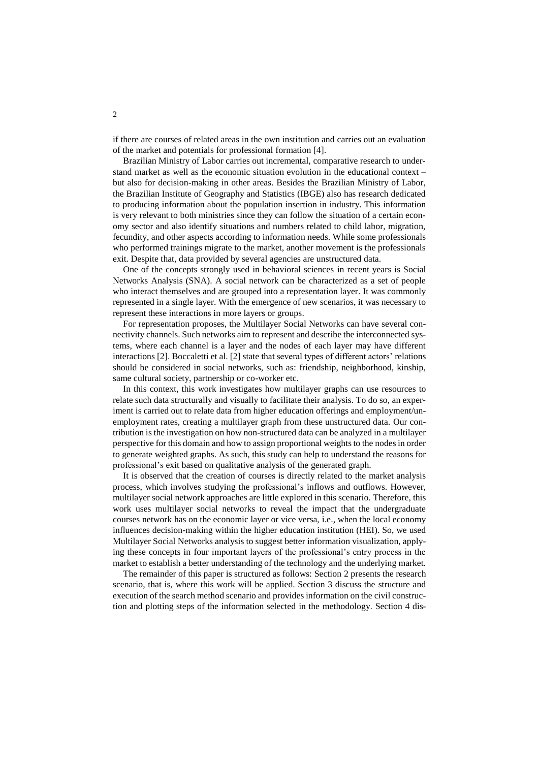if there are courses of related areas in the own institution and carries out an evaluation of the market and potentials for professional formation [4].

Brazilian Ministry of Labor carries out incremental, comparative research to understand market as well as the economic situation evolution in the educational context – but also for decision-making in other areas. Besides the Brazilian Ministry of Labor, the Brazilian Institute of Geography and Statistics (IBGE) also has research dedicated to producing information about the population insertion in industry. This information is very relevant to both ministries since they can follow the situation of a certain economy sector and also identify situations and numbers related to child labor, migration, fecundity, and other aspects according to information needs. While some professionals who performed trainings migrate to the market, another movement is the professionals exit. Despite that, data provided by several agencies are unstructured data.

One of the concepts strongly used in behavioral sciences in recent years is Social Networks Analysis (SNA). A social network can be characterized as a set of people who interact themselves and are grouped into a representation layer. It was commonly represented in a single layer. With the emergence of new scenarios, it was necessary to represent these interactions in more layers or groups.

For representation proposes, the Multilayer Social Networks can have several connectivity channels. Such networks aim to represent and describe the interconnected systems, where each channel is a layer and the nodes of each layer may have different interactions [2]. Boccaletti et al. [2] state that several types of different actors' relations should be considered in social networks, such as: friendship, neighborhood, kinship, same cultural society, partnership or co-worker etc.

In this context, this work investigates how multilayer graphs can use resources to relate such data structurally and visually to facilitate their analysis. To do so, an experiment is carried out to relate data from higher education offerings and employment/unemployment rates, creating a multilayer graph from these unstructured data. Our contribution is the investigation on how non-structured data can be analyzed in a multilayer perspective for this domain and how to assign proportional weights to the nodes in order to generate weighted graphs. As such, this study can help to understand the reasons for professional's exit based on qualitative analysis of the generated graph.

It is observed that the creation of courses is directly related to the market analysis process, which involves studying the professional's inflows and outflows. However, multilayer social network approaches are little explored in this scenario. Therefore, this work uses multilayer social networks to reveal the impact that the undergraduate courses network has on the economic layer or vice versa, i.e., when the local economy influences decision-making within the higher education institution (HEI). So, we used Multilayer Social Networks analysis to suggest better information visualization, applying these concepts in four important layers of the professional's entry process in the market to establish a better understanding of the technology and the underlying market.

The remainder of this paper is structured as follows: Section 2 presents the research scenario, that is, where this work will be applied. Section 3 discuss the structure and execution of the search method scenario and provides information on the civil construction and plotting steps of the information selected in the methodology. Section 4 dis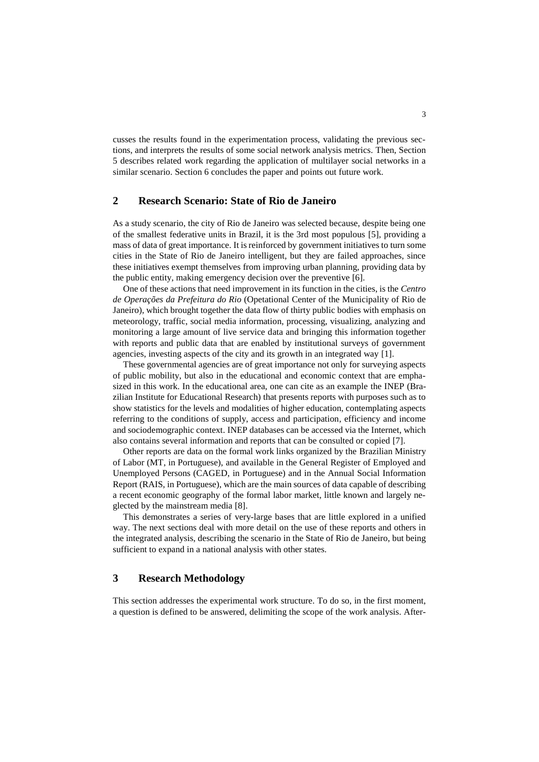cusses the results found in the experimentation process, validating the previous sections, and interprets the results of some social network analysis metrics. Then, Section 5 describes related work regarding the application of multilayer social networks in a similar scenario. Section 6 concludes the paper and points out future work.

### **2 Research Scenario: State of Rio de Janeiro**

As a study scenario, the city of Rio de Janeiro was selected because, despite being one of the smallest federative units in Brazil, it is the 3rd most populous [5], providing a mass of data of great importance. It is reinforced by government initiatives to turn some cities in the State of Rio de Janeiro intelligent, but they are failed approaches, since these initiatives exempt themselves from improving urban planning, providing data by the public entity, making emergency decision over the preventive [6].

One of these actions that need improvement in its function in the cities, is the *Centro de Operações da Prefeitura do Rio* (Opetational Center of the Municipality of Rio de Janeiro), which brought together the data flow of thirty public bodies with emphasis on meteorology, traffic, social media information, processing, visualizing, analyzing and monitoring a large amount of live service data and bringing this information together with reports and public data that are enabled by institutional surveys of government agencies, investing aspects of the city and its growth in an integrated way [1].

These governmental agencies are of great importance not only for surveying aspects of public mobility, but also in the educational and economic context that are emphasized in this work. In the educational area, one can cite as an example the INEP (Brazilian Institute for Educational Research) that presents reports with purposes such as to show statistics for the levels and modalities of higher education, contemplating aspects referring to the conditions of supply, access and participation, efficiency and income and sociodemographic context. INEP databases can be accessed via the Internet, which also contains several information and reports that can be consulted or copied [7].

Other reports are data on the formal work links organized by the Brazilian Ministry of Labor (MT, in Portuguese), and available in the General Register of Employed and Unemployed Persons (CAGED, in Portuguese) and in the Annual Social Information Report (RAIS, in Portuguese), which are the main sources of data capable of describing a recent economic geography of the formal labor market, little known and largely neglected by the mainstream media [8].

This demonstrates a series of very-large bases that are little explored in a unified way. The next sections deal with more detail on the use of these reports and others in the integrated analysis, describing the scenario in the State of Rio de Janeiro, but being sufficient to expand in a national analysis with other states.

### **3 Research Methodology**

This section addresses the experimental work structure. To do so, in the first moment, a question is defined to be answered, delimiting the scope of the work analysis. After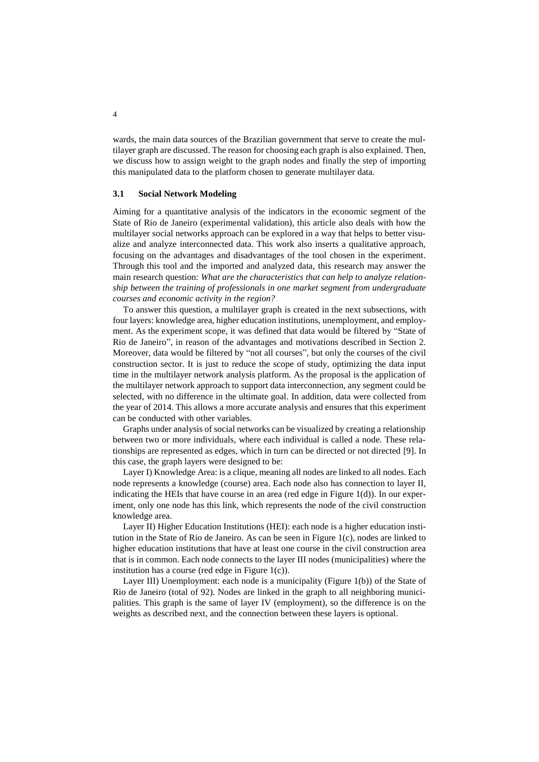wards, the main data sources of the Brazilian government that serve to create the multilayer graph are discussed. The reason for choosing each graph is also explained. Then, we discuss how to assign weight to the graph nodes and finally the step of importing this manipulated data to the platform chosen to generate multilayer data.

#### **3.1 Social Network Modeling**

Aiming for a quantitative analysis of the indicators in the economic segment of the State of Rio de Janeiro (experimental validation), this article also deals with how the multilayer social networks approach can be explored in a way that helps to better visualize and analyze interconnected data. This work also inserts a qualitative approach, focusing on the advantages and disadvantages of the tool chosen in the experiment. Through this tool and the imported and analyzed data, this research may answer the main research question: *What are the characteristics that can help to analyze relationship between the training of professionals in one market segment from undergraduate courses and economic activity in the region?* 

To answer this question, a multilayer graph is created in the next subsections, with four layers: knowledge area, higher education institutions, unemployment, and employment. As the experiment scope, it was defined that data would be filtered by "State of Rio de Janeiro", in reason of the advantages and motivations described in Section 2. Moreover, data would be filtered by "not all courses", but only the courses of the civil construction sector. It is just to reduce the scope of study, optimizing the data input time in the multilayer network analysis platform. As the proposal is the application of the multilayer network approach to support data interconnection, any segment could be selected, with no difference in the ultimate goal. In addition, data were collected from the year of 2014. This allows a more accurate analysis and ensures that this experiment can be conducted with other variables.

Graphs under analysis of social networks can be visualized by creating a relationship between two or more individuals, where each individual is called a node. These relationships are represented as edges, which in turn can be directed or not directed [9]. In this case, the graph layers were designed to be:

Layer I) Knowledge Area: is a clique, meaning all nodes are linked to all nodes. Each node represents a knowledge (course) area. Each node also has connection to layer II, indicating the HEIs that have course in an area (red edge in Figure 1(d)). In our experiment, only one node has this link, which represents the node of the civil construction knowledge area.

Layer II) Higher Education Institutions (HEI): each node is a higher education institution in the State of Rio de Janeiro. As can be seen in Figure 1(c), nodes are linked to higher education institutions that have at least one course in the civil construction area that is in common. Each node connects to the layer III nodes (municipalities) where the institution has a course (red edge in Figure 1(c)).

Layer III) Unemployment: each node is a municipality (Figure 1(b)) of the State of Rio de Janeiro (total of 92). Nodes are linked in the graph to all neighboring municipalities. This graph is the same of layer IV (employment), so the difference is on the weights as described next, and the connection between these layers is optional.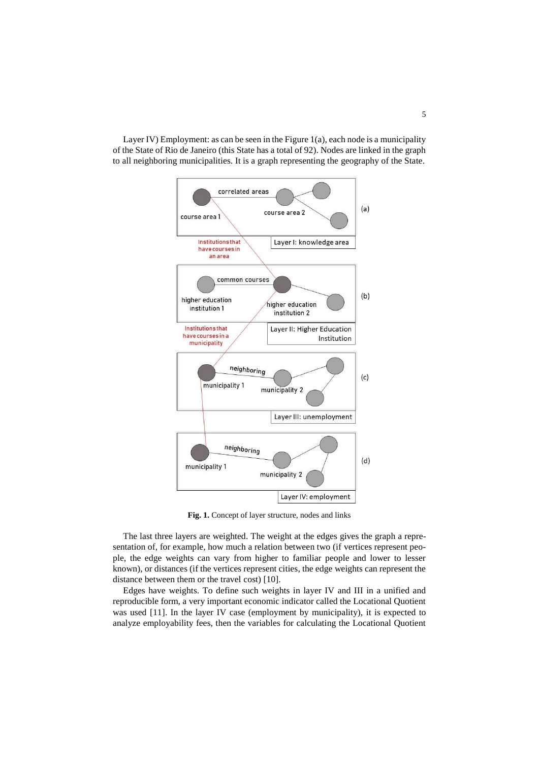Layer IV) Employment: as can be seen in the Figure 1(a), each node is a municipality of the State of Rio de Janeiro (this State has a total of 92). Nodes are linked in the graph to all neighboring municipalities. It is a graph representing the geography of the State.



**Fig. 1.** Concept of layer structure, nodes and links

The last three layers are weighted. The weight at the edges gives the graph a representation of, for example, how much a relation between two (if vertices represent people, the edge weights can vary from higher to familiar people and lower to lesser known), or distances (if the vertices represent cities, the edge weights can represent the distance between them or the travel cost) [10].

Edges have weights. To define such weights in layer IV and III in a unified and reproducible form, a very important economic indicator called the Locational Quotient was used [11]. In the layer IV case (employment by municipality), it is expected to analyze employability fees, then the variables for calculating the Locational Quotient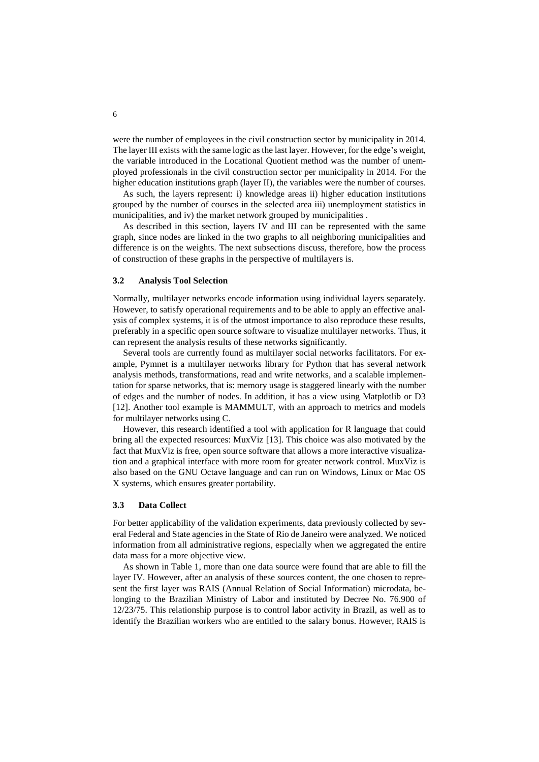were the number of employees in the civil construction sector by municipality in 2014. The layer III exists with the same logic as the last layer. However, for the edge's weight, the variable introduced in the Locational Quotient method was the number of unemployed professionals in the civil construction sector per municipality in 2014. For the higher education institutions graph (layer II), the variables were the number of courses.

As such, the layers represent: i) knowledge areas ii) higher education institutions grouped by the number of courses in the selected area iii) unemployment statistics in municipalities, and iv) the market network grouped by municipalities .

As described in this section, layers IV and III can be represented with the same graph, since nodes are linked in the two graphs to all neighboring municipalities and difference is on the weights. The next subsections discuss, therefore, how the process of construction of these graphs in the perspective of multilayers is.

#### **3.2 Analysis Tool Selection**

Normally, multilayer networks encode information using individual layers separately. However, to satisfy operational requirements and to be able to apply an effective analysis of complex systems, it is of the utmost importance to also reproduce these results, preferably in a specific open source software to visualize multilayer networks. Thus, it can represent the analysis results of these networks significantly.

Several tools are currently found as multilayer social networks facilitators. For example, Pymnet is a multilayer networks library for Python that has several network analysis methods, transformations, read and write networks, and a scalable implementation for sparse networks, that is: memory usage is staggered linearly with the number of edges and the number of nodes. In addition, it has a view using Matplotlib or D3 [12]. Another tool example is MAMMULT, with an approach to metrics and models for multilayer networks using C.

However, this research identified a tool with application for R language that could bring all the expected resources: MuxViz [13]. This choice was also motivated by the fact that MuxViz is free, open source software that allows a more interactive visualization and a graphical interface with more room for greater network control. MuxViz is also based on the GNU Octave language and can run on Windows, Linux or Mac OS X systems, which ensures greater portability.

#### **3.3 Data Collect**

For better applicability of the validation experiments, data previously collected by several Federal and State agencies in the State of Rio de Janeiro were analyzed. We noticed information from all administrative regions, especially when we aggregated the entire data mass for a more objective view.

As shown in Table 1, more than one data source were found that are able to fill the layer IV. However, after an analysis of these sources content, the one chosen to represent the first layer was RAIS (Annual Relation of Social Information) microdata, belonging to the Brazilian Ministry of Labor and instituted by Decree No. 76.900 of 12/23/75. This relationship purpose is to control labor activity in Brazil, as well as to identify the Brazilian workers who are entitled to the salary bonus. However, RAIS is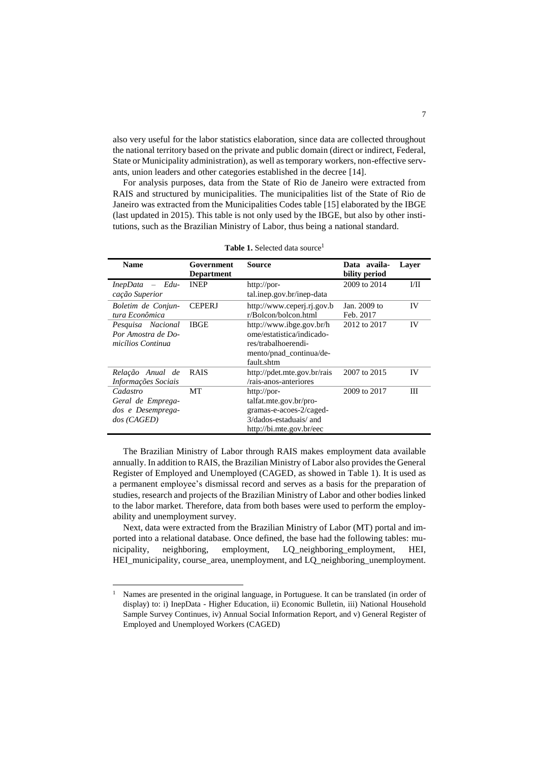also very useful for the labor statistics elaboration, since data are collected throughout the national territory based on the private and public domain (direct or indirect, Federal, State or Municipality administration), as well as temporary workers, non-effective servants, union leaders and other categories established in the decree [14].

For analysis purposes, data from the State of Rio de Janeiro were extracted from RAIS and structured by municipalities. The municipalities list of the State of Rio de Janeiro was extracted from the Municipalities Codes table [15] elaborated by the IBGE (last updated in 2015). This table is not only used by the IBGE, but also by other institutions, such as the Brazilian Ministry of Labor, thus being a national standard.

| <b>Name</b>                                                          | Government<br><b>Department</b> | Source                                                                                                                 | Data availa-<br>bility period | Laver   |
|----------------------------------------------------------------------|---------------------------------|------------------------------------------------------------------------------------------------------------------------|-------------------------------|---------|
| $InepData - Edu-$<br>cação Superior                                  | <b>INEP</b>                     | http://por-<br>tal.inep.gov.br/inep-data                                                                               | 2009 to 2014                  | $1/\Pi$ |
| Boletim de Conjun-<br>tura Econômica                                 | <b>CEPERJ</b>                   | http://www.ceperj.rj.gov.b<br>r/Bolcon/bolcon.html                                                                     | Jan. 2009 to<br>Feb. 2017     | IV      |
| Pesquisa Nacional<br>Por Amostra de Do-<br>micílios Continua         | <b>IBGE</b>                     | http://www.ibge.gov.br/h<br>ome/estatistica/indicado-<br>res/trabalhoerendi-<br>mento/pnad_continua/de-<br>fault.shtm  | 2012 to 2017                  | IV      |
| Relação Anual de<br>Informações Sociais                              | <b>RAIS</b>                     | http://pdet.mte.gov.br/rais<br>/rais-anos-anteriores                                                                   | 2007 to 2015                  | IV      |
| Cadastro<br>Geral de Emprega-<br>dos e Desemprega-<br>$\cos$ (CAGED) | МT                              | http://por-<br>talfat.mte.gov.br/pro-<br>gramas-e-acoes-2/caged-<br>3/dados-estaduais/ and<br>http://bi.mte.gov.br/eec | 2009 to 2017                  | Ш       |

Table 1. Selected data source<sup>1</sup>

The Brazilian Ministry of Labor through RAIS makes employment data available annually. In addition to RAIS, the Brazilian Ministry of Labor also provides the General Register of Employed and Unemployed (CAGED, as showed in Table 1). It is used as a permanent employee's dismissal record and serves as a basis for the preparation of studies, research and projects of the Brazilian Ministry of Labor and other bodies linked to the labor market. Therefore, data from both bases were used to perform the employability and unemployment survey.

Next, data were extracted from the Brazilian Ministry of Labor (MT) portal and imported into a relational database. Once defined, the base had the following tables: municipality, neighboring, employment, LQ\_neighboring\_employment, HEI, HEI\_municipality, course\_area, unemployment, and LQ\_neighboring\_unemployment.

 $\overline{a}$ 

<sup>&</sup>lt;sup>1</sup> Names are presented in the original language, in Portuguese. It can be translated (in order of display) to: i) InepData - Higher Education, ii) Economic Bulletin, iii) National Household Sample Survey Continues, iv) Annual Social Information Report, and v) General Register of Employed and Unemployed Workers (CAGED)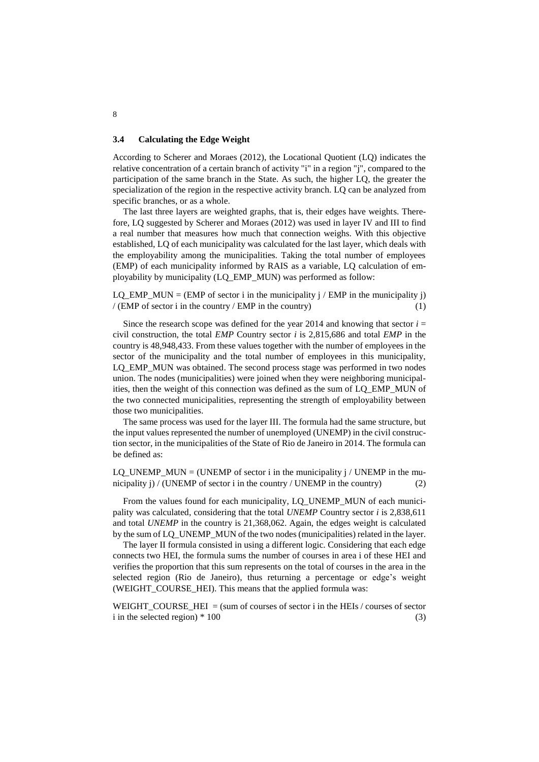#### **3.4 Calculating the Edge Weight**

According to Scherer and Moraes (2012), the Locational Quotient (LQ) indicates the relative concentration of a certain branch of activity "i" in a region "j", compared to the participation of the same branch in the State. As such, the higher LQ, the greater the specialization of the region in the respective activity branch. LQ can be analyzed from specific branches, or as a whole.

The last three layers are weighted graphs, that is, their edges have weights. Therefore, LQ suggested by Scherer and Moraes (2012) was used in layer IV and III to find a real number that measures how much that connection weighs. With this objective established, LQ of each municipality was calculated for the last layer, which deals with the employability among the municipalities. Taking the total number of employees (EMP) of each municipality informed by RAIS as a variable, LQ calculation of employability by municipality (LQ\_EMP\_MUN) was performed as follow:

LO EMP MUN = (EMP of sector i in the municipality j / EMP in the municipality j)  $/(EMP \text{ of sector } i \text{ in the country } / EMP \text{ in the country})$  (1)

Since the research scope was defined for the year 2014 and knowing that sector  $i =$ civil construction, the total *EMP* Country sector *i* is 2,815,686 and total *EMP* in the country is 48,948,433. From these values together with the number of employees in the sector of the municipality and the total number of employees in this municipality, LQ\_EMP\_MUN was obtained. The second process stage was performed in two nodes union. The nodes (municipalities) were joined when they were neighboring municipalities, then the weight of this connection was defined as the sum of LQ\_EMP\_MUN of the two connected municipalities, representing the strength of employability between those two municipalities.

The same process was used for the layer III. The formula had the same structure, but the input values represented the number of unemployed (UNEMP) in the civil construction sector, in the municipalities of the State of Rio de Janeiro in 2014. The formula can be defined as:

LQ UNEMP MUN = (UNEMP of sector i in the municipality j / UNEMP in the municipality j) / (UNEMP of sector i in the country / UNEMP in the country) (2)

From the values found for each municipality, LQ\_UNEMP\_MUN of each municipality was calculated, considering that the total *UNEMP* Country sector *i* is 2,838,611 and total *UNEMP* in the country is 21,368,062. Again, the edges weight is calculated by the sum of LQ\_UNEMP\_MUN of the two nodes (municipalities) related in the layer.

The layer II formula consisted in using a different logic. Considering that each edge connects two HEI, the formula sums the number of courses in area i of these HEI and verifies the proportion that this sum represents on the total of courses in the area in the selected region (Rio de Janeiro), thus returning a percentage or edge's weight (WEIGHT\_COURSE\_HEI). This means that the applied formula was:

WEIGHT\_COURSE\_HEI = (sum of courses of sector i in the HEIs / courses of sector i in the selected region)  $*100$  (3)

8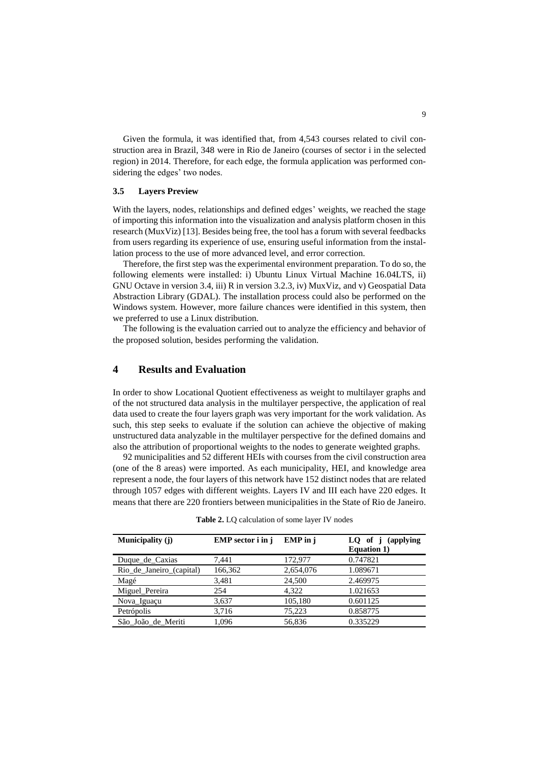Given the formula, it was identified that, from 4,543 courses related to civil construction area in Brazil, 348 were in Rio de Janeiro (courses of sector i in the selected region) in 2014. Therefore, for each edge, the formula application was performed considering the edges' two nodes.

#### **3.5 Layers Preview**

With the layers, nodes, relationships and defined edges' weights, we reached the stage of importing this information into the visualization and analysis platform chosen in this research (MuxViz) [13]. Besides being free, the tool has a forum with several feedbacks from users regarding its experience of use, ensuring useful information from the installation process to the use of more advanced level, and error correction.

Therefore, the first step was the experimental environment preparation. To do so, the following elements were installed: i) Ubuntu Linux Virtual Machine 16.04LTS, ii) GNU Octave in version 3.4, iii) R in version 3.2.3, iv) MuxViz, and v) Geospatial Data Abstraction Library (GDAL). The installation process could also be performed on the Windows system. However, more failure chances were identified in this system, then we preferred to use a Linux distribution.

The following is the evaluation carried out to analyze the efficiency and behavior of the proposed solution, besides performing the validation.

### **4 Results and Evaluation**

In order to show Locational Quotient effectiveness as weight to multilayer graphs and of the not structured data analysis in the multilayer perspective, the application of real data used to create the four layers graph was very important for the work validation. As such, this step seeks to evaluate if the solution can achieve the objective of making unstructured data analyzable in the multilayer perspective for the defined domains and also the attribution of proportional weights to the nodes to generate weighted graphs.

92 municipalities and 52 different HEIs with courses from the civil construction area (one of the 8 areas) were imported. As each municipality, HEI, and knowledge area represent a node, the four layers of this network have 152 distinct nodes that are related through 1057 edges with different weights. Layers IV and III each have 220 edges. It means that there are 220 frontiers between municipalities in the State of Rio de Janeiro.

| Municipality (j)         | EMP sector i in j | EMP in i  | LQ of j (applying<br><b>Equation 1)</b> |
|--------------------------|-------------------|-----------|-----------------------------------------|
| Duque de Caxias          | 7,441             | 172,977   | 0.747821                                |
| Rio de Janeiro (capital) | 166,362           | 2,654,076 | 1.089671                                |
| Magé                     | 3,481             | 24,500    | 2.469975                                |
| Miguel Pereira           | 254               | 4.322     | 1.021653                                |
| Nova_Iguaçu              | 3,637             | 105,180   | 0.601125                                |
| Petrópolis               | 3,716             | 75,223    | 0.858775                                |
| São João de Meriti       | 1,096             | 56,836    | 0.335229                                |

**Table 2.** LQ calculation of some layer IV nodes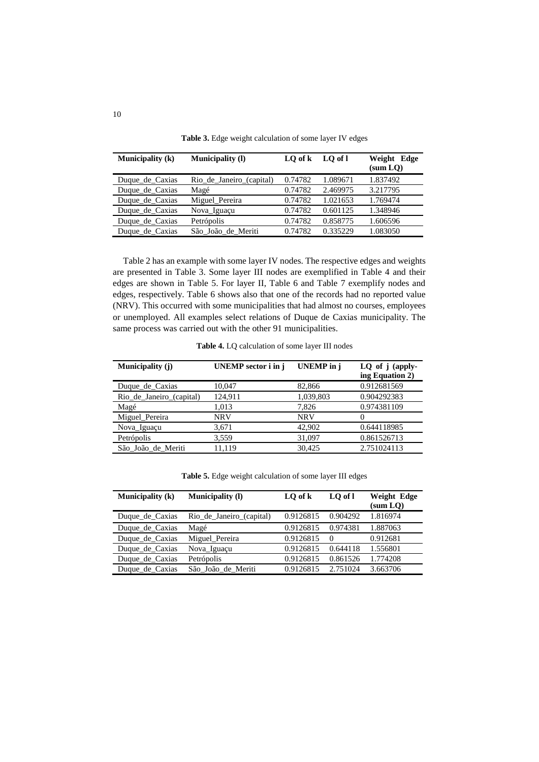| <b>Municipality (k)</b> | <b>Municipality</b> (I)  | $LO$ of $k$ | LO of l  | Weight Edge<br>(sum LO) |
|-------------------------|--------------------------|-------------|----------|-------------------------|
| Duque de Caxias         | Rio_de_Janeiro_(capital) | 0.74782     | 1.089671 | 1.837492                |
| Duque_de_Caxias         | Magé                     | 0.74782     | 2.469975 | 3.217795                |
| Duque de Caxias         | Miguel Pereira           | 0.74782     | 1.021653 | 1.769474                |
| Duque de Caxias         | Nova_Iguaçu              | 0.74782     | 0.601125 | 1.348946                |
| Duque de Caxias         | Petrópolis               | 0.74782     | 0.858775 | 1.606596                |
| Duque de Caxias         | São João de Meriti       | 0.74782     | 0.335229 | 1.083050                |

**Table 3.** Edge weight calculation of some layer IV edges

Table 2 has an example with some layer IV nodes. The respective edges and weights are presented in Table 3. Some layer III nodes are exemplified in Table 4 and their edges are shown in Table 5. For layer II, Table 6 and Table 7 exemplify nodes and edges, respectively. Table 6 shows also that one of the records had no reported value (NRV). This occurred with some municipalities that had almost no courses, employees or unemployed. All examples select relations of Duque de Caxias municipality. The same process was carried out with the other 91 municipalities.

| Municipality (j)         | <b>UNEMP</b> sector i in i | <b>UNEMP</b> in j | LQ of j (apply-<br>ing Equation 2) |
|--------------------------|----------------------------|-------------------|------------------------------------|
| Duque de Caxias          | 10,047                     | 82,866            | 0.912681569                        |
| Rio de Janeiro (capital) | 124,911                    | 1,039,803         | 0.904292383                        |
| Magé                     | 1,013                      | 7,826             | 0.974381109                        |
| Miguel_Pereira           | <b>NRV</b>                 | <b>NRV</b>        | 0                                  |
| Nova_Iguaçu              | 3,671                      | 42,902            | 0.644118985                        |
| Petrópolis               | 3,559                      | 31,097            | 0.861526713                        |
| São João de Meriti       | 11.119                     | 30.425            | 2.751024113                        |

**Table 4.** LQ calculation of some layer III nodes

**Table 5.** Edge weight calculation of some layer III edges

| <b>Municipality</b> (k) | <b>Municipality</b> (1)  | LO of k   | LO of l  | Weight Edge<br>(sum LO) |
|-------------------------|--------------------------|-----------|----------|-------------------------|
| Duque_de_Caxias         | Rio de Janeiro (capital) | 0.9126815 | 0.904292 | 1.816974                |
| Duque de Caxias         | Magé                     | 0.9126815 | 0.974381 | 1.887063                |
| Duque de Caxias         | Miguel Pereira           | 0.9126815 | $\Omega$ | 0.912681                |
| Duque_de_Caxias         | Nova_Iguaçu              | 0.9126815 | 0.644118 | 1.556801                |
| Duque de Caxias         | Petrópolis               | 0.9126815 | 0.861526 | 1.774208                |
| Duque de Caxias         | São João de Meriti       | 0.9126815 | 2.751024 | 3.663706                |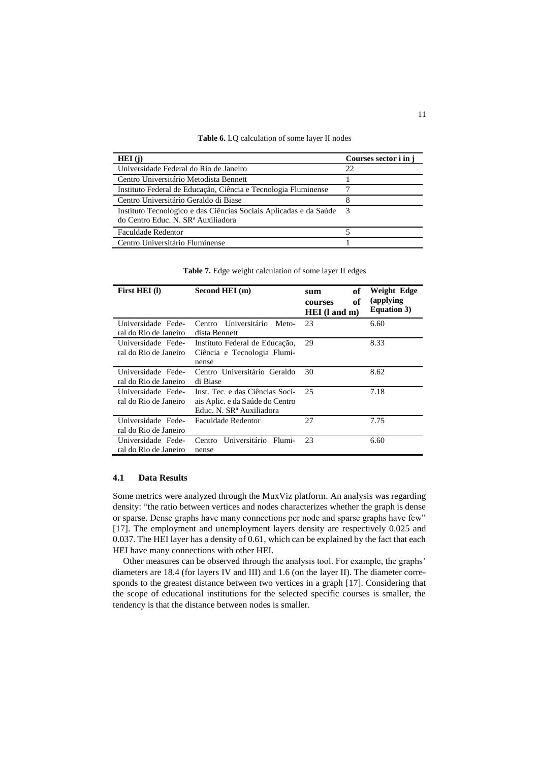#### **Table 6.** LQ calculation of some layer II nodes

| HEI(i)                                                                                                              | Courses sector i in j |
|---------------------------------------------------------------------------------------------------------------------|-----------------------|
| Universidade Federal do Rio de Janeiro                                                                              | 22                    |
| Centro Universitário Metodista Bennett                                                                              |                       |
| Instituto Federal de Educação, Ciência e Tecnologia Fluminense                                                      |                       |
| Centro Universitário Geraldo di Biase                                                                               |                       |
| Instituto Tecnológico e das Ciências Sociais Aplicadas e da Saúde<br>do Centro Educ. N. SR <sup>a</sup> Auxiliadora | - 3                   |
| <b>Faculdade Redentor</b>                                                                                           |                       |
| Centro Universitário Fluminense                                                                                     |                       |

**Table 7.** Edge weight calculation of some layer II edges

| First HEI(I)                                | Second HEI (m)                                                                                             | of<br>sum<br>of<br>courses<br>HEI (1 and m) | Weight Edge<br>(applying)<br><b>Equation 3)</b> |
|---------------------------------------------|------------------------------------------------------------------------------------------------------------|---------------------------------------------|-------------------------------------------------|
| Universidade Fede-<br>ral do Rio de Janeiro | Universitário<br>Centro<br>Meto-<br>dista Bennett                                                          | 23                                          | 6.60                                            |
| Universidade Fede-<br>ral do Rio de Janeiro | Instituto Federal de Educação,<br>Ciência e Tecnologia Flumi-<br>nense                                     | 29                                          | 8.33                                            |
| Universidade Fede-<br>ral do Rio de Janeiro | Centro Universitário Geraldo<br>di Biase                                                                   | 30                                          | 8.62                                            |
| Universidade Fede-<br>ral do Rio de Janeiro | Inst. Tec. e das Ciências Soci-<br>ais Aplic. e da Saúde do Centro<br>Educ. N. SR <sup>a</sup> Auxiliadora | 25                                          | 7.18                                            |
| Universidade Fede-<br>ral do Rio de Janeiro | <b>Faculdade Redentor</b>                                                                                  | 27                                          | 7.75                                            |
| Universidade Fede-<br>ral do Rio de Janeiro | Universitário<br>Flumi-<br>Centro<br>nense                                                                 | 23                                          | 6.60                                            |

#### **4.1 Data Results**

Some metrics were analyzed through the MuxViz platform. An analysis was regarding density: "the ratio between vertices and nodes characterizes whether the graph is dense or sparse. Dense graphs have many connections per node and sparse graphs have few" [17]. The employment and unemployment layers density are respectively 0.025 and 0.037. The HEI layer has a density of 0.61, which can be explained by the fact that each HEI have many connections with other HEI.

Other measures can be observed through the analysis tool. For example, the graphs' diameters are 18.4 (for layers IV and III) and 1.6 (on the layer II). The diameter corresponds to the greatest distance between two vertices in a graph [17]. Considering that the scope of educational institutions for the selected specific courses is smaller, the tendency is that the distance between nodes is smaller.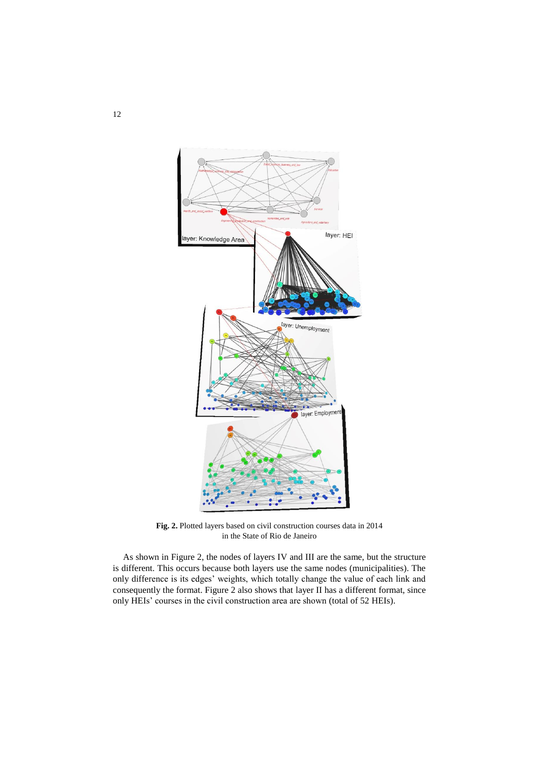

**Fig. 2.** Plotted layers based on civil construction courses data in 2014 in the State of Rio de Janeiro

As shown in Figure 2, the nodes of layers IV and III are the same, but the structure is different. This occurs because both layers use the same nodes (municipalities). The only difference is its edges' weights, which totally change the value of each link and consequently the format. Figure 2 also shows that layer II has a different format, since only HEIs' courses in the civil construction area are shown (total of 52 HEIs).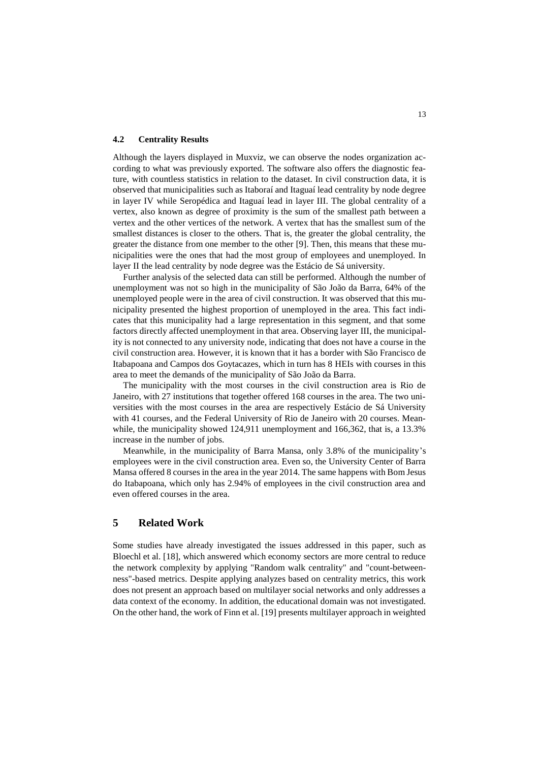#### **4.2 Centrality Results**

Although the layers displayed in Muxviz, we can observe the nodes organization according to what was previously exported. The software also offers the diagnostic feature, with countless statistics in relation to the dataset. In civil construction data, it is observed that municipalities such as Itaboraí and Itaguaí lead centrality by node degree in layer IV while Seropédica and Itaguaí lead in layer III. The global centrality of a vertex, also known as degree of proximity is the sum of the smallest path between a vertex and the other vertices of the network. A vertex that has the smallest sum of the smallest distances is closer to the others. That is, the greater the global centrality, the greater the distance from one member to the other [9]. Then, this means that these municipalities were the ones that had the most group of employees and unemployed. In layer II the lead centrality by node degree was the Estácio de Sá university.

Further analysis of the selected data can still be performed. Although the number of unemployment was not so high in the municipality of São João da Barra, 64% of the unemployed people were in the area of civil construction. It was observed that this municipality presented the highest proportion of unemployed in the area. This fact indicates that this municipality had a large representation in this segment, and that some factors directly affected unemployment in that area. Observing layer III, the municipality is not connected to any university node, indicating that does not have a course in the civil construction area. However, it is known that it has a border with São Francisco de Itabapoana and Campos dos Goytacazes, which in turn has 8 HEIs with courses in this area to meet the demands of the municipality of São João da Barra.

The municipality with the most courses in the civil construction area is Rio de Janeiro, with 27 institutions that together offered 168 courses in the area. The two universities with the most courses in the area are respectively Estácio de Sá University with 41 courses, and the Federal University of Rio de Janeiro with 20 courses. Meanwhile, the municipality showed 124,911 unemployment and 166,362, that is, a 13.3% increase in the number of jobs.

Meanwhile, in the municipality of Barra Mansa, only 3.8% of the municipality's employees were in the civil construction area. Even so, the University Center of Barra Mansa offered 8 courses in the area in the year 2014. The same happens with Bom Jesus do Itabapoana, which only has 2.94% of employees in the civil construction area and even offered courses in the area.

## **5 Related Work**

Some studies have already investigated the issues addressed in this paper, such as Bloechl et al. [18], which answered which economy sectors are more central to reduce the network complexity by applying "Random walk centrality" and "count-betweenness"-based metrics. Despite applying analyzes based on centrality metrics, this work does not present an approach based on multilayer social networks and only addresses a data context of the economy. In addition, the educational domain was not investigated. On the other hand, the work of Finn et al. [19] presents multilayer approach in weighted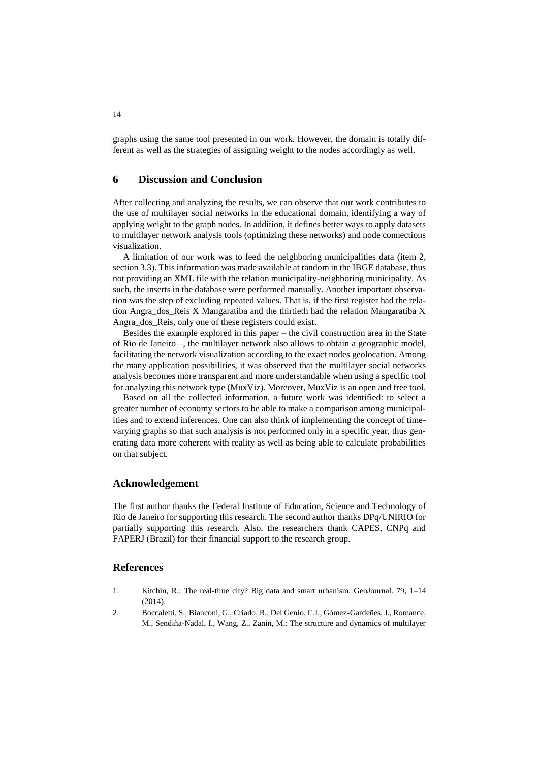graphs using the same tool presented in our work. However, the domain is totally different as well as the strategies of assigning weight to the nodes accordingly as well.

### **6 Discussion and Conclusion**

After collecting and analyzing the results, we can observe that our work contributes to the use of multilayer social networks in the educational domain, identifying a way of applying weight to the graph nodes. In addition, it defines better ways to apply datasets to multilayer network analysis tools (optimizing these networks) and node connections visualization.

A limitation of our work was to feed the neighboring municipalities data (item 2, section 3.3). This information was made available at random in the IBGE database, thus not providing an XML file with the relation municipality-neighboring municipality. As such, the inserts in the database were performed manually. Another important observation was the step of excluding repeated values. That is, if the first register had the relation Angra\_dos\_Reis X Mangaratiba and the thirtieth had the relation Mangaratiba X Angra\_dos\_Reis, only one of these registers could exist.

Besides the example explored in this paper – the civil construction area in the State of Rio de Janeiro –, the multilayer network also allows to obtain a geographic model, facilitating the network visualization according to the exact nodes geolocation. Among the many application possibilities, it was observed that the multilayer social networks analysis becomes more transparent and more understandable when using a specific tool for analyzing this network type (MuxViz). Moreover, MuxViz is an open and free tool.

Based on all the collected information, a future work was identified: to select a greater number of economy sectors to be able to make a comparison among municipalities and to extend inferences. One can also think of implementing the concept of timevarying graphs so that such analysis is not performed only in a specific year, thus generating data more coherent with reality as well as being able to calculate probabilities on that subject.

#### **Acknowledgement**

The first author thanks the Federal Institute of Education, Science and Technology of Rio de Janeiro for supporting this research. The second author thanks DPq/UNIRIO for partially supporting this research. Also, the researchers thank CAPES, CNPq and FAPERJ (Brazil) for their financial support to the research group.

### **References**

- 1. Kitchin, R.: The real-time city? Big data and smart urbanism. GeoJournal. 79, 1–14  $(2014)$
- 2. Boccaletti, S., Bianconi, G., Criado, R., Del Genio, C.I., Gómez-Gardeñes, J., Romance, M., Sendiña-Nadal, I., Wang, Z., Zanin, M.: The structure and dynamics of multilayer